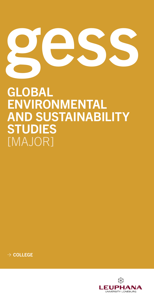

# GLOBAL ENVIRONMENTAL AND SUSTAINABILITY **STUDIES** [MAJOR]

 $\rightarrow$  COLLEGE

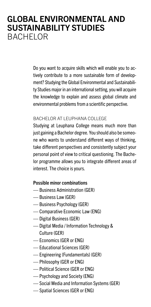### GLOBAL ENVIRONMENTAL AND SUSTAINABILITY STUDIES BACHELOR

Do you want to acquire skills which will enable you to actively contribute to a more sustainable form of development? Studying the Global Environmental and Sustainability Studies major in an international setting, you will acquire the knowledge to explain and assess global climate and environmental problems from a scientific perspective.

#### BACHELOR AT LEUPHANA COLLEGE

Studying at Leuphana College means much more than just gaining a Bachelor degree. You should also be someone who wants to understand different ways of thinking, take different perspectives and consistently subject your personal point of view to critical questioning. The Bachelor programme allows you to integrate different areas of interest. The choice is yours.

### Possible minor combinations

- Business Administration (GER)
- Business Law (GER)
- Business Psychology (GER)
- Comparative Economic Law (ENG)
- Digital Business (GER)
- Digital Media / Information Technology & Culture (GER)
- Economics (GER or ENG)
- Educational Sciences (GER)
- Engineering (Fundamentals) (GER)
- Philosophy (GER or ENG)
- Political Science (GER or ENG)
- Psychology and Society (ENG)
- Social Media and Information Systems (GER)
- Spatial Sciences (GER or ENG)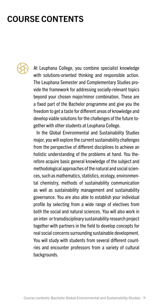## COURSE CONTENTS



At Leuphana College, you combine specialist knowledge with solutions-oriented thinking and responsible action. The Leuphana Semester and Complementary Studies provide the framework for addressing socially-relevant topics beyond your chosen major/minor combination. These are a fixed part of the Bachelor programme and give you the freedom to get a taste for different areas of knowledge and develop viable solutions for the challenges of the future together with other students at Leuphana College.

In the Global Environmental and Sustainability Studies major, you will explore the current sustainability challenges from the perspective of different disciplines to achieve an holistic understanding of the problems at hand. You therefore acquire basic general knowledge of the subject and methodological approaches of the natural and social sciences, such as mathematics, statistics, ecology, environmental chemistry, methods of sustainability communication as well as sustainability management and sustainability governance. You are also able to establish your individual profile by selecting from a wide range of electives from both the social and natural sciences. You will also work in an inter- or transdisciplinary sustainability research project together with partners in the field to develop concepts for real social concerns surrounding sustainable development. You will study with students from several different countries and encounter professors from a variety of cultural backgrounds.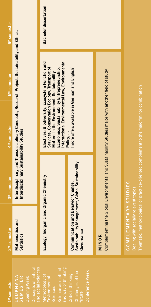| 1 <sup>st</sup> semester                                                                | 2 <sup>nd</sup> semester                                                                             | 3rd semester                                                                                        | 4 <sup>th</sup> semester                                                                                                                                                                                                                       | 5 <sup>th</sup> semester                                                                       | 6 <sup>th</sup> semester     |
|-----------------------------------------------------------------------------------------|------------------------------------------------------------------------------------------------------|-----------------------------------------------------------------------------------------------------|------------------------------------------------------------------------------------------------------------------------------------------------------------------------------------------------------------------------------------------------|------------------------------------------------------------------------------------------------|------------------------------|
| Concepts of natural<br>and social sciences<br>ANAHAUE-<br>SEMESTER<br>Opening Week      | Mathematics and<br><b>Statistics</b>                                                                 | Interdisciplinary Sustainability Studies                                                            |                                                                                                                                                                                                                                                | Interdisciplinary and Transdisciplinary Concepts, Research Project, Sustainability and Ethics, |                              |
| and way of thinking<br>Science as method<br>Methodology of<br>Environmental<br>Sciences | Ecology, I                                                                                           | norganic and Organic Chemistry                                                                      | International Environmental Law, Environmental<br>Electives: Biodiversity, Ecosystem Function and<br>Services, Conservation Ecology, Transport of<br>Economics, Sustainability Entrepreneurship,<br>Matters in the Environment, Sustainability |                                                                                                | <b>Bachelor dissertation</b> |
| Conference Week<br>Challenges of the<br>Critical thinking<br>uture                      | Communication and Behavior Change,<br>Sustainability Management, Global Sustainability<br>Governance |                                                                                                     | [more offers available in German and English]<br>Policy,                                                                                                                                                                                       |                                                                                                |                              |
|                                                                                         | MINOR                                                                                                | Complementing the Global Environmental and Sustainability Studies major with another field of study |                                                                                                                                                                                                                                                |                                                                                                |                              |
|                                                                                         | COMPLEMENTARY STUDIES<br>Dealing with socially relevant topics                                       |                                                                                                     |                                                                                                                                                                                                                                                |                                                                                                |                              |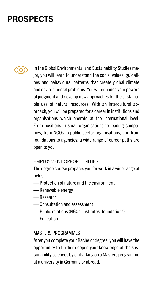### **PROSPECTS**



In the Global Environmental and Sustainability Studies major, you will learn to understand the social values, guidelines and behavioural patterns that create global climate and environmental problems. You will enhance your powers of judgment and develop new approaches for the sustainable use of natural resources. With an intercultural approach, you will be prepared for a career in institutions and organisations which operate at the international level. From positions in small organisations to leading companies, from NGOs to public sector organisations, and from foundations to agencies: a wide range of career paths are open to you.

### EMPLOYMENT OPPORTUNITIES

The degree course prepares you for work in a wide range of fields:

- Protection of nature and the environment
- Renewable energy
- Research
- Consultation and assessment
- Public relations (NGOs, institutes, foundations)
- Education

### MASTERS PROGRAMMES

After you complete your Bachelor degree, you will have the opportunity to further deepen your knowledge of the sustainability sciences by embarking on a Masters programme at a university in Germany or abroad.